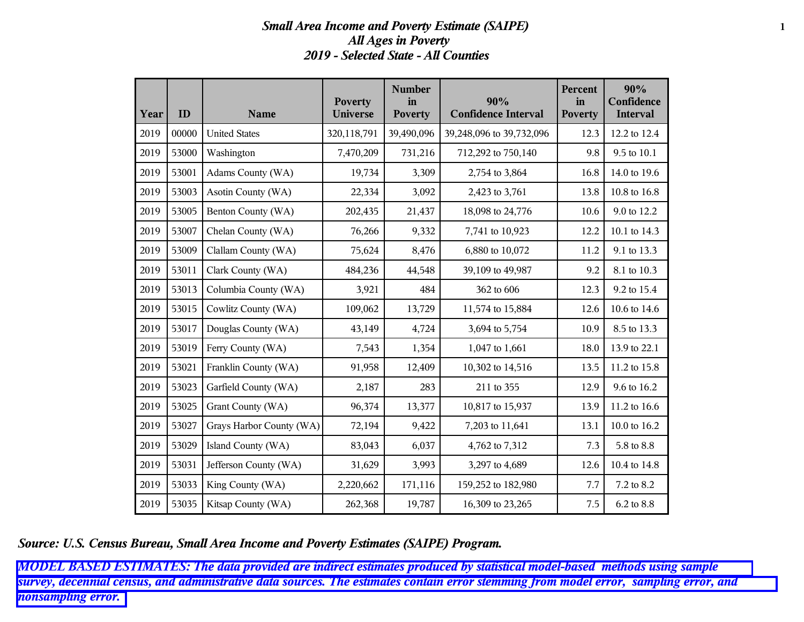## *Small Area Income and Poverty Estimate (SAIPE)* **1** *All Ages in Poverty 2019 - Selected State - All Counties*

| Year | ID    | <b>Name</b>              | <b>Poverty</b><br><b>Universe</b> | <b>Number</b><br>in<br><b>Poverty</b> | 90%<br><b>Confidence Interval</b> | Percent<br>in<br><b>Poverty</b> | 90%<br>Confidence<br><b>Interval</b> |
|------|-------|--------------------------|-----------------------------------|---------------------------------------|-----------------------------------|---------------------------------|--------------------------------------|
| 2019 | 00000 | <b>United States</b>     | 320,118,791                       | 39,490,096                            | 39,248,096 to 39,732,096          | 12.3                            | 12.2 to 12.4                         |
| 2019 | 53000 | Washington               | 7,470,209                         | 731,216                               | 712,292 to 750,140                | 9.8                             | 9.5 to 10.1                          |
| 2019 | 53001 | Adams County (WA)        | 19,734                            | 3,309                                 | 2,754 to 3,864                    | 16.8                            | 14.0 to 19.6                         |
| 2019 | 53003 | Asotin County (WA)       | 22,334                            | 3,092                                 | 2,423 to 3,761                    | 13.8                            | 10.8 to 16.8                         |
| 2019 | 53005 | Benton County (WA)       | 202,435                           | 21,437                                | 18,098 to 24,776                  | 10.6                            | 9.0 to 12.2                          |
| 2019 | 53007 | Chelan County (WA)       | 76,266                            | 9,332                                 | 7,741 to 10,923                   | 12.2                            | 10.1 to 14.3                         |
| 2019 | 53009 | Clallam County (WA)      | 75,624                            | 8,476                                 | 6,880 to 10,072                   | 11.2                            | 9.1 to 13.3                          |
| 2019 | 53011 | Clark County (WA)        | 484,236                           | 44,548                                | 39,109 to 49,987                  | 9.2                             | 8.1 to 10.3                          |
| 2019 | 53013 | Columbia County (WA)     | 3,921                             | 484                                   | 362 to 606                        | 12.3                            | 9.2 to 15.4                          |
| 2019 | 53015 | Cowlitz County (WA)      | 109,062                           | 13,729                                | 11,574 to 15,884                  | 12.6                            | 10.6 to 14.6                         |
| 2019 | 53017 | Douglas County (WA)      | 43,149                            | 4,724                                 | 3,694 to 5,754                    | 10.9                            | 8.5 to 13.3                          |
| 2019 | 53019 | Ferry County (WA)        | 7,543                             | 1,354                                 | 1,047 to 1,661                    | 18.0                            | 13.9 to 22.1                         |
| 2019 | 53021 | Franklin County (WA)     | 91,958                            | 12,409                                | 10,302 to 14,516                  | 13.5                            | 11.2 to 15.8                         |
| 2019 | 53023 | Garfield County (WA)     | 2,187                             | 283                                   | 211 to 355                        | 12.9                            | 9.6 to 16.2                          |
| 2019 | 53025 | Grant County (WA)        | 96,374                            | 13,377                                | 10,817 to 15,937                  | 13.9                            | 11.2 to 16.6                         |
| 2019 | 53027 | Grays Harbor County (WA) | 72,194                            | 9,422                                 | 7,203 to 11,641                   | 13.1                            | 10.0 to 16.2                         |
| 2019 | 53029 | Island County (WA)       | 83,043                            | 6,037                                 | 4,762 to 7,312                    | 7.3                             | 5.8 to 8.8                           |
| 2019 | 53031 | Jefferson County (WA)    | 31,629                            | 3,993                                 | 3,297 to 4,689                    | 12.6                            | 10.4 to 14.8                         |
| 2019 | 53033 | King County (WA)         | 2,220,662                         | 171,116                               | 159,252 to 182,980                | 7.7                             | 7.2 to 8.2                           |
| 2019 | 53035 | Kitsap County (WA)       | 262,368                           | 19,787                                | 16,309 to 23,265                  | 7.5                             | 6.2 to 8.8                           |

*Source: U.S. Census Bureau, Small Area Income and Poverty Estimates (SAIPE) Program.*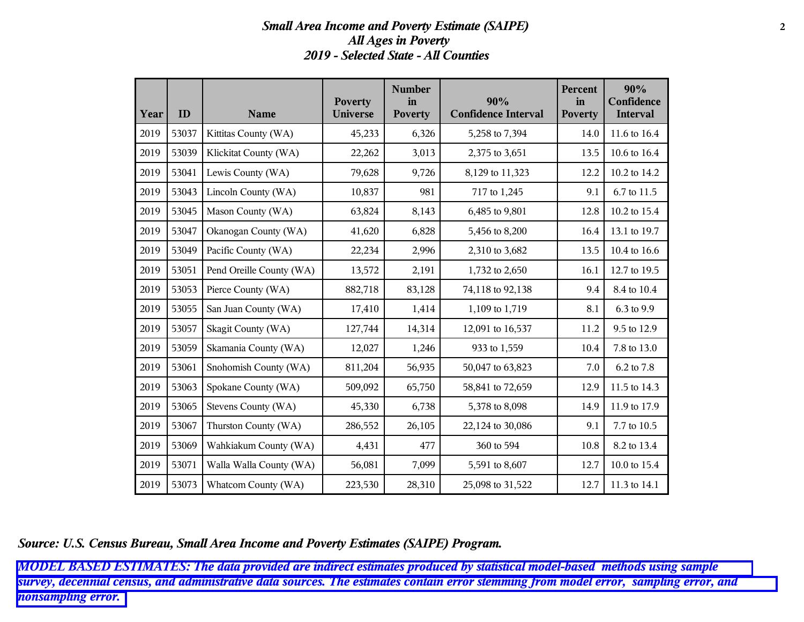### *Small Area Income and Poverty Estimate (SAIPE)* **2** *All Ages in Poverty 2019 - Selected State - All Counties*

| Year | ID    | <b>Name</b>              | <b>Poverty</b><br><b>Universe</b> | <b>Number</b><br>in<br><b>Poverty</b> | 90%<br><b>Confidence Interval</b> | Percent<br>in<br><b>Poverty</b> | 90%<br>Confidence<br><b>Interval</b> |
|------|-------|--------------------------|-----------------------------------|---------------------------------------|-----------------------------------|---------------------------------|--------------------------------------|
| 2019 | 53037 | Kittitas County (WA)     | 45,233                            | 6,326                                 | 5,258 to 7,394                    | 14.0                            | 11.6 to 16.4                         |
| 2019 | 53039 | Klickitat County (WA)    | 22,262                            | 3,013                                 | 2,375 to 3,651                    | 13.5                            | 10.6 to 16.4                         |
| 2019 | 53041 | Lewis County (WA)        | 79,628                            | 9,726                                 | 8,129 to 11,323                   | 12.2                            | 10.2 to 14.2                         |
| 2019 | 53043 | Lincoln County (WA)      | 10,837                            | 981                                   | 717 to 1,245                      | 9.1                             | 6.7 to 11.5                          |
| 2019 | 53045 | Mason County (WA)        | 63,824                            | 8,143                                 | 6,485 to 9,801                    | 12.8                            | 10.2 to 15.4                         |
| 2019 | 53047 | Okanogan County (WA)     | 41,620                            | 6,828                                 | 5,456 to 8,200                    | 16.4                            | 13.1 to 19.7                         |
| 2019 | 53049 | Pacific County (WA)      | 22,234                            | 2,996                                 | 2,310 to 3,682                    | 13.5                            | 10.4 to 16.6                         |
| 2019 | 53051 | Pend Oreille County (WA) | 13,572                            | 2,191                                 | 1,732 to 2,650                    | 16.1                            | 12.7 to 19.5                         |
| 2019 | 53053 | Pierce County (WA)       | 882,718                           | 83,128                                | 74,118 to 92,138                  | 9.4                             | 8.4 to 10.4                          |
| 2019 | 53055 | San Juan County (WA)     | 17,410                            | 1,414                                 | 1,109 to 1,719                    | 8.1                             | 6.3 to 9.9                           |
| 2019 | 53057 | Skagit County (WA)       | 127,744                           | 14,314                                | 12,091 to 16,537                  | 11.2                            | 9.5 to 12.9                          |
| 2019 | 53059 | Skamania County (WA)     | 12,027                            | 1,246                                 | 933 to 1,559                      | 10.4                            | 7.8 to 13.0                          |
| 2019 | 53061 | Snohomish County (WA)    | 811,204                           | 56,935                                | 50,047 to 63,823                  | 7.0                             | 6.2 to 7.8                           |
| 2019 | 53063 | Spokane County (WA)      | 509,092                           | 65,750                                | 58,841 to 72,659                  | 12.9                            | 11.5 to 14.3                         |
| 2019 | 53065 | Stevens County (WA)      | 45,330                            | 6,738                                 | 5,378 to 8,098                    | 14.9                            | 11.9 to 17.9                         |
| 2019 | 53067 | Thurston County (WA)     | 286,552                           | 26,105                                | 22,124 to 30,086                  | 9.1                             | 7.7 to 10.5                          |
| 2019 | 53069 | Wahkiakum County (WA)    | 4,431                             | 477                                   | 360 to 594                        | 10.8                            | 8.2 to 13.4                          |
| 2019 | 53071 | Walla Walla County (WA)  | 56,081                            | 7,099                                 | 5,591 to 8,607                    | 12.7                            | 10.0 to 15.4                         |
| 2019 | 53073 | Whatcom County (WA)      | 223,530                           | 28,310                                | 25,098 to 31,522                  | 12.7                            | 11.3 to 14.1                         |

*Source: U.S. Census Bureau, Small Area Income and Poverty Estimates (SAIPE) Program.*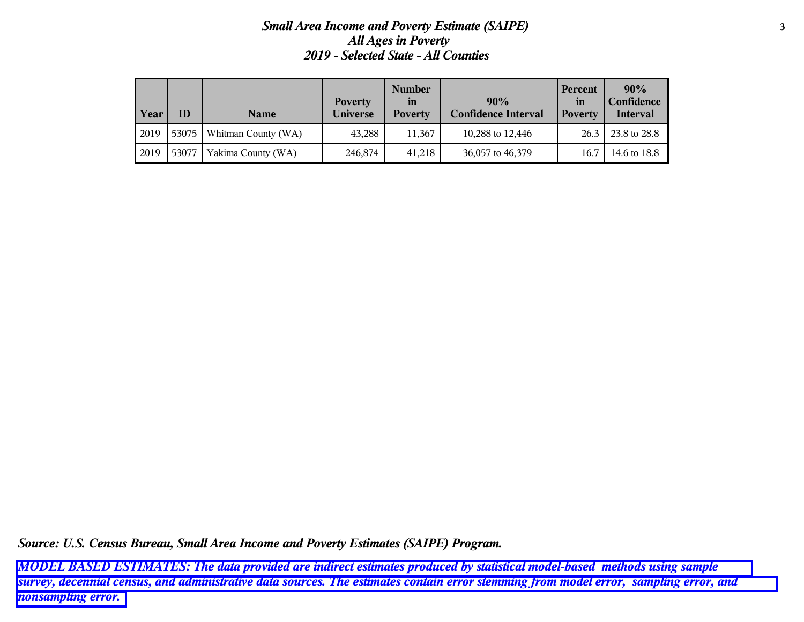# *Small Area Income and Poverty Estimate (SAIPE)* **3** *All Ages in Poverty 2019 - Selected State - All Counties*

| Year | ΙD      | <b>Name</b>         | <b>Poverty</b><br><b>Universe</b> | <b>Number</b><br><i>in</i><br><b>Poverty</b> | 90%<br><b>Confidence Interval</b> | Percent<br>in<br><b>Poverty</b> | 90%<br>Confidence<br>Interval |
|------|---------|---------------------|-----------------------------------|----------------------------------------------|-----------------------------------|---------------------------------|-------------------------------|
| 2019 | 53075 l | Whitman County (WA) | 43,288                            | 11.367                                       | 10,288 to 12,446                  | 26.3                            | 23.8 to 28.8                  |
| 2019 | 53077   | Yakima County (WA)  | 246,874                           | 41,218                                       | 36,057 to 46,379                  | 16.7                            | 14.6 to 18.8                  |

*Source: U.S. Census Bureau, Small Area Income and Poverty Estimates (SAIPE) Program.*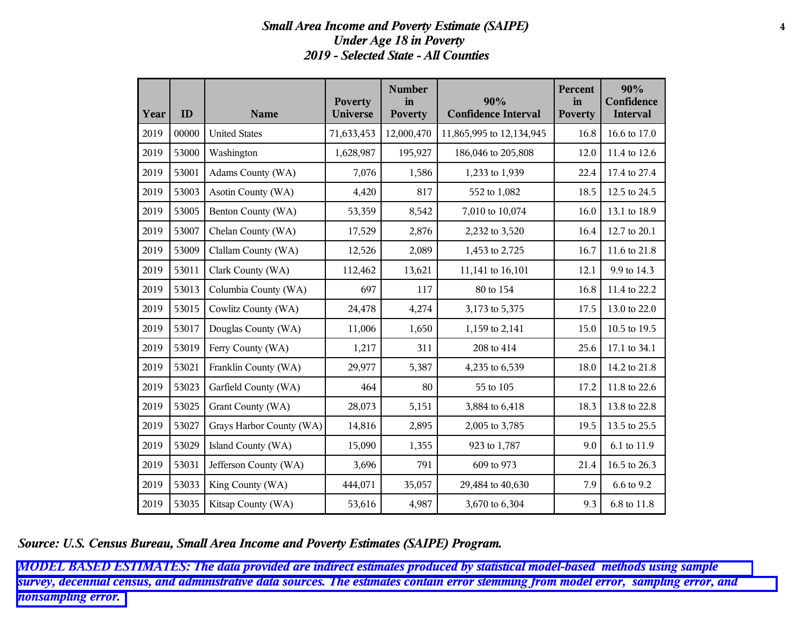# *Small Area Income and Poverty Estimate (SAIPE)* **4** *Under Age 18 in Poverty 2019 - Selected State - All Counties*

| Year | ID    | <b>Name</b>              | <b>Poverty</b><br><b>Universe</b> | <b>Number</b><br>in<br><b>Poverty</b> | 90%<br><b>Confidence Interval</b> | Percent<br>in<br><b>Poverty</b> | 90%<br>Confidence<br><b>Interval</b> |
|------|-------|--------------------------|-----------------------------------|---------------------------------------|-----------------------------------|---------------------------------|--------------------------------------|
| 2019 | 00000 | <b>United States</b>     | 71,633,453                        | 12,000,470                            | 11,865,995 to 12,134,945          | 16.8                            | 16.6 to 17.0                         |
| 2019 | 53000 | Washington               | 1,628,987                         | 195,927                               | 186,046 to 205,808                | 12.0                            | 11.4 to 12.6                         |
| 2019 | 53001 | Adams County (WA)        | 7,076                             | 1,586                                 | 1,233 to 1,939                    | 22.4                            | 17.4 to 27.4                         |
| 2019 | 53003 | Asotin County (WA)       | 4,420                             | 817                                   | 552 to 1,082                      | 18.5                            | 12.5 to 24.5                         |
| 2019 | 53005 | Benton County (WA)       | 53,359                            | 8,542                                 | 7,010 to 10,074                   | 16.0                            | 13.1 to 18.9                         |
| 2019 | 53007 | Chelan County (WA)       | 17,529                            | 2,876                                 | 2,232 to 3,520                    | 16.4                            | 12.7 to 20.1                         |
| 2019 | 53009 | Clallam County (WA)      | 12,526                            | 2,089                                 | 1,453 to 2,725                    | 16.7                            | 11.6 to 21.8                         |
| 2019 | 53011 | Clark County (WA)        | 112,462                           | 13,621                                | 11,141 to 16,101                  | 12.1                            | 9.9 to 14.3                          |
| 2019 | 53013 | Columbia County (WA)     | 697                               | 117                                   | 80 to 154                         | 16.8                            | 11.4 to 22.2                         |
| 2019 | 53015 | Cowlitz County (WA)      | 24,478                            | 4,274                                 | 3,173 to 5,375                    | 17.5                            | 13.0 to 22.0                         |
| 2019 | 53017 | Douglas County (WA)      | 11,006                            | 1,650                                 | 1,159 to 2,141                    | 15.0                            | 10.5 to 19.5                         |
| 2019 | 53019 | Ferry County (WA)        | 1,217                             | 311                                   | 208 to 414                        | 25.6                            | 17.1 to 34.1                         |
| 2019 | 53021 | Franklin County (WA)     | 29,977                            | 5,387                                 | 4,235 to 6,539                    | 18.0                            | 14.2 to 21.8                         |
| 2019 | 53023 | Garfield County (WA)     | 464                               | 80                                    | 55 to 105                         | 17.2                            | 11.8 to 22.6                         |
| 2019 | 53025 | Grant County (WA)        | 28,073                            | 5,151                                 | 3,884 to 6,418                    | 18.3                            | 13.8 to 22.8                         |
| 2019 | 53027 | Grays Harbor County (WA) | 14,816                            | 2,895                                 | 2,005 to 3,785                    | 19.5                            | 13.5 to 25.5                         |
| 2019 | 53029 | Island County (WA)       | 15,090                            | 1,355                                 | 923 to 1,787                      | 9.0                             | 6.1 to 11.9                          |
| 2019 | 53031 | Jefferson County (WA)    | 3,696                             | 791                                   | 609 to 973                        | 21.4                            | 16.5 to 26.3                         |
| 2019 | 53033 | King County (WA)         | 444,071                           | 35,057                                | 29,484 to 40,630                  | 7.9                             | 6.6 to 9.2                           |
| 2019 | 53035 | Kitsap County (WA)       | 53,616                            | 4,987                                 | 3,670 to 6,304                    | 9.3                             | 6.8 to 11.8                          |

*Source: U.S. Census Bureau, Small Area Income and Poverty Estimates (SAIPE) Program.*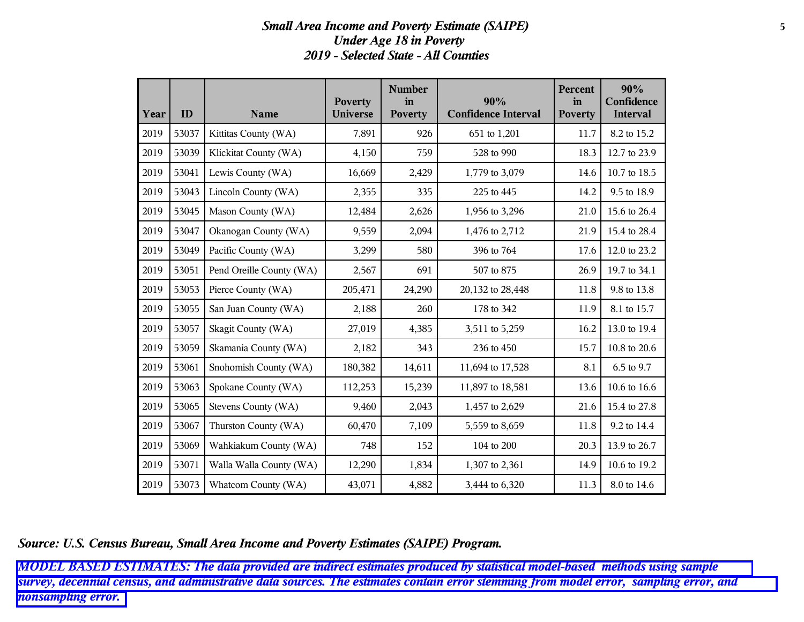### *Small Area Income and Poverty Estimate (SAIPE)* **5** *Under Age 18 in Poverty 2019 - Selected State - All Counties*

| Year | ID    | <b>Name</b>              | <b>Poverty</b><br><b>Universe</b> | <b>Number</b><br>in<br><b>Poverty</b> | 90%<br><b>Confidence Interval</b> | Percent<br>in<br><b>Poverty</b> | 90%<br>Confidence<br>Interval |
|------|-------|--------------------------|-----------------------------------|---------------------------------------|-----------------------------------|---------------------------------|-------------------------------|
| 2019 | 53037 | Kittitas County (WA)     | 7,891                             | 926                                   | 651 to 1,201                      | 11.7                            | 8.2 to 15.2                   |
| 2019 | 53039 | Klickitat County (WA)    | 4,150                             | 759                                   | 528 to 990                        | 18.3                            | 12.7 to 23.9                  |
| 2019 | 53041 | Lewis County (WA)        | 16,669                            | 2,429                                 | 1,779 to 3,079                    | 14.6                            | 10.7 to 18.5                  |
| 2019 | 53043 | Lincoln County (WA)      | 2,355                             | 335                                   | 225 to 445                        | 14.2                            | 9.5 to 18.9                   |
| 2019 | 53045 | Mason County (WA)        | 12,484                            | 2,626                                 | 1,956 to 3,296                    | 21.0                            | 15.6 to 26.4                  |
| 2019 | 53047 | Okanogan County (WA)     | 9,559                             | 2,094                                 | 1,476 to 2,712                    | 21.9                            | 15.4 to 28.4                  |
| 2019 | 53049 | Pacific County (WA)      | 3,299                             | 580                                   | 396 to 764                        | 17.6                            | 12.0 to 23.2                  |
| 2019 | 53051 | Pend Oreille County (WA) | 2,567                             | 691                                   | 507 to 875                        | 26.9                            | 19.7 to 34.1                  |
| 2019 | 53053 | Pierce County (WA)       | 205,471                           | 24,290                                | 20,132 to 28,448                  | 11.8                            | 9.8 to 13.8                   |
| 2019 | 53055 | San Juan County (WA)     | 2,188                             | 260                                   | 178 to 342                        | 11.9                            | 8.1 to 15.7                   |
| 2019 | 53057 | Skagit County (WA)       | 27,019                            | 4,385                                 | 3,511 to 5,259                    | 16.2                            | 13.0 to 19.4                  |
| 2019 | 53059 | Skamania County (WA)     | 2,182                             | 343                                   | 236 to 450                        | 15.7                            | 10.8 to 20.6                  |
| 2019 | 53061 | Snohomish County (WA)    | 180,382                           | 14,611                                | 11,694 to 17,528                  | 8.1                             | 6.5 to 9.7                    |
| 2019 | 53063 | Spokane County (WA)      | 112,253                           | 15,239                                | 11,897 to 18,581                  | 13.6                            | 10.6 to 16.6                  |
| 2019 | 53065 | Stevens County (WA)      | 9,460                             | 2,043                                 | 1,457 to 2,629                    | 21.6                            | 15.4 to 27.8                  |
| 2019 | 53067 | Thurston County (WA)     | 60,470                            | 7,109                                 | 5,559 to 8,659                    | 11.8                            | 9.2 to 14.4                   |
| 2019 | 53069 | Wahkiakum County (WA)    | 748                               | 152                                   | 104 to 200                        | 20.3                            | 13.9 to 26.7                  |
| 2019 | 53071 | Walla Walla County (WA)  | 12,290                            | 1,834                                 | 1,307 to 2,361                    | 14.9                            | 10.6 to 19.2                  |
| 2019 | 53073 | Whatcom County (WA)      | 43,071                            | 4,882                                 | 3,444 to 6,320                    | 11.3                            | 8.0 to 14.6                   |

*Source: U.S. Census Bureau, Small Area Income and Poverty Estimates (SAIPE) Program.*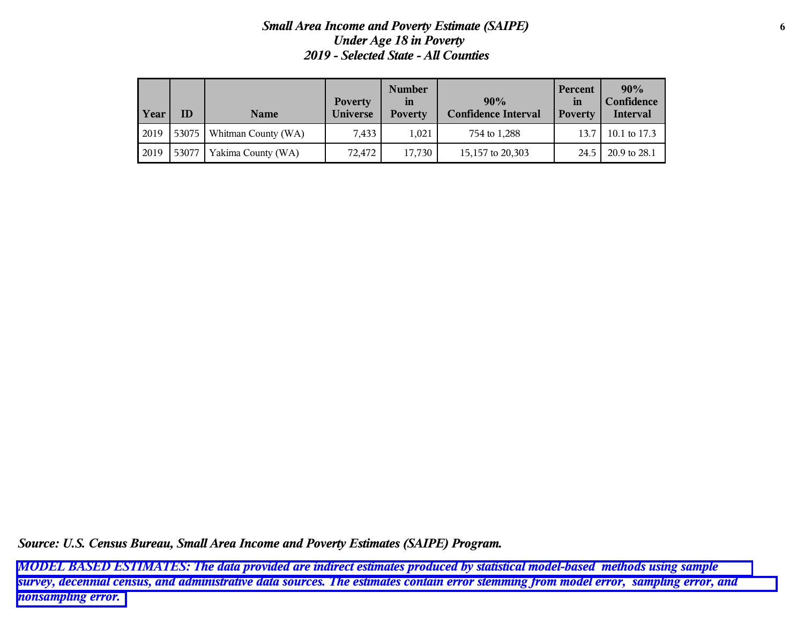## *Small Area Income and Poverty Estimate (SAIPE)* **6** *Under Age 18 in Poverty 2019 - Selected State - All Counties*

| Year | ΙD    | <b>Name</b>         | <b>Poverty</b><br><b>Universe</b> | <b>Number</b><br>$\mathbf{m}$<br><b>Poverty</b> | 90%<br><b>Confidence Interval</b> | Percent<br><i>in</i><br><b>Poverty</b> | 90%<br>Confidence<br><b>Interval</b> |
|------|-------|---------------------|-----------------------------------|-------------------------------------------------|-----------------------------------|----------------------------------------|--------------------------------------|
| 2019 | 53075 | Whitman County (WA) | 7.433                             | 1.021                                           | 754 to 1,288                      | 13.7                                   | 10.1 to 17.3                         |
| 2019 | 53077 | Yakima County (WA)  | 72,472                            | 17,730                                          | 15,157 to 20,303                  | 24.5                                   | 20.9 to 28.1                         |

*Source: U.S. Census Bureau, Small Area Income and Poverty Estimates (SAIPE) Program.*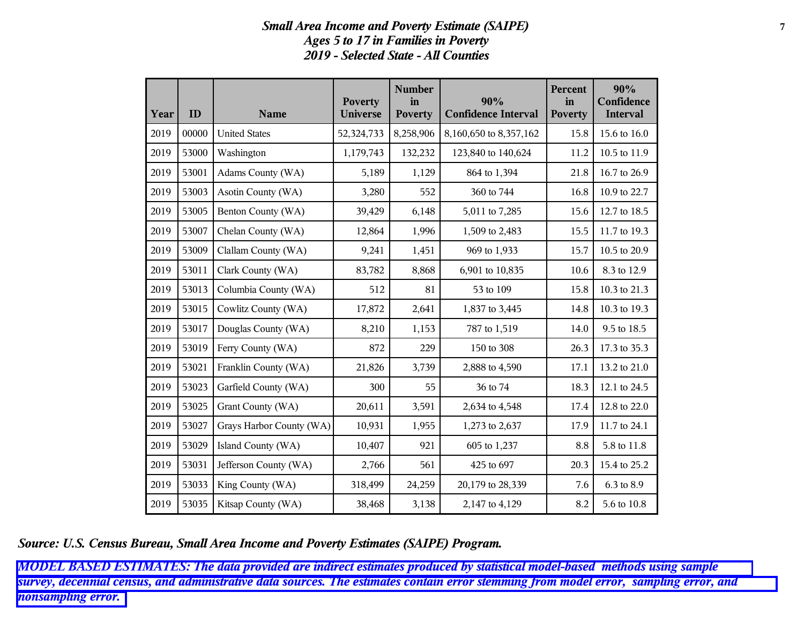## *Small Area Income and Poverty Estimate (SAIPE)* **7** *Ages 5 to 17 in Families in Poverty 2019 - Selected State - All Counties*

| Year | ID    | <b>Name</b>              | <b>Poverty</b><br><b>Universe</b> | <b>Number</b><br>in<br><b>Poverty</b> | 90%<br><b>Confidence Interval</b> | Percent<br>in<br><b>Poverty</b> | 90%<br>Confidence<br><b>Interval</b> |
|------|-------|--------------------------|-----------------------------------|---------------------------------------|-----------------------------------|---------------------------------|--------------------------------------|
| 2019 | 00000 | <b>United States</b>     | 52,324,733                        | 8,258,906                             | 8,160,650 to 8,357,162            | 15.8                            | 15.6 to 16.0                         |
| 2019 | 53000 | Washington               | 1,179,743                         | 132,232                               | 123,840 to 140,624                | 11.2                            | 10.5 to 11.9                         |
| 2019 | 53001 | Adams County (WA)        | 5,189                             | 1,129                                 | 864 to 1,394                      | 21.8                            | 16.7 to 26.9                         |
| 2019 | 53003 | Asotin County (WA)       | 3,280                             | 552                                   | 360 to 744                        | 16.8                            | 10.9 to 22.7                         |
| 2019 | 53005 | Benton County (WA)       | 39,429                            | 6,148                                 | 5,011 to 7,285                    | 15.6                            | 12.7 to 18.5                         |
| 2019 | 53007 | Chelan County (WA)       | 12,864                            | 1,996                                 | 1,509 to 2,483                    | 15.5                            | 11.7 to 19.3                         |
| 2019 | 53009 | Clallam County (WA)      | 9,241                             | 1,451                                 | 969 to 1,933                      | 15.7                            | 10.5 to 20.9                         |
| 2019 | 53011 | Clark County (WA)        | 83,782                            | 8,868                                 | 6,901 to 10,835                   | 10.6                            | 8.3 to 12.9                          |
| 2019 | 53013 | Columbia County (WA)     | 512                               | 81                                    | 53 to 109                         | 15.8                            | 10.3 to 21.3                         |
| 2019 | 53015 | Cowlitz County (WA)      | 17,872                            | 2,641                                 | 1,837 to 3,445                    | 14.8                            | 10.3 to 19.3                         |
| 2019 | 53017 | Douglas County (WA)      | 8,210                             | 1,153                                 | 787 to 1,519                      | 14.0                            | 9.5 to 18.5                          |
| 2019 | 53019 | Ferry County (WA)        | 872                               | 229                                   | 150 to 308                        | 26.3                            | 17.3 to 35.3                         |
| 2019 | 53021 | Franklin County (WA)     | 21,826                            | 3,739                                 | 2,888 to 4,590                    | 17.1                            | 13.2 to 21.0                         |
| 2019 | 53023 | Garfield County (WA)     | 300                               | 55                                    | 36 to 74                          | 18.3                            | 12.1 to 24.5                         |
| 2019 | 53025 | Grant County (WA)        | 20,611                            | 3,591                                 | 2,634 to 4,548                    | 17.4                            | 12.8 to 22.0                         |
| 2019 | 53027 | Grays Harbor County (WA) | 10,931                            | 1,955                                 | 1,273 to 2,637                    | 17.9                            | 11.7 to 24.1                         |
| 2019 | 53029 | Island County (WA)       | 10,407                            | 921                                   | 605 to 1,237                      | 8.8                             | 5.8 to 11.8                          |
| 2019 | 53031 | Jefferson County (WA)    | 2,766                             | 561                                   | 425 to 697                        | 20.3                            | 15.4 to 25.2                         |
| 2019 | 53033 | King County (WA)         | 318,499                           | 24,259                                | 20,179 to 28,339                  | 7.6                             | 6.3 to 8.9                           |
| 2019 | 53035 | Kitsap County (WA)       | 38,468                            | 3,138                                 | 2,147 to 4,129                    | 8.2                             | 5.6 to 10.8                          |

*Source: U.S. Census Bureau, Small Area Income and Poverty Estimates (SAIPE) Program.*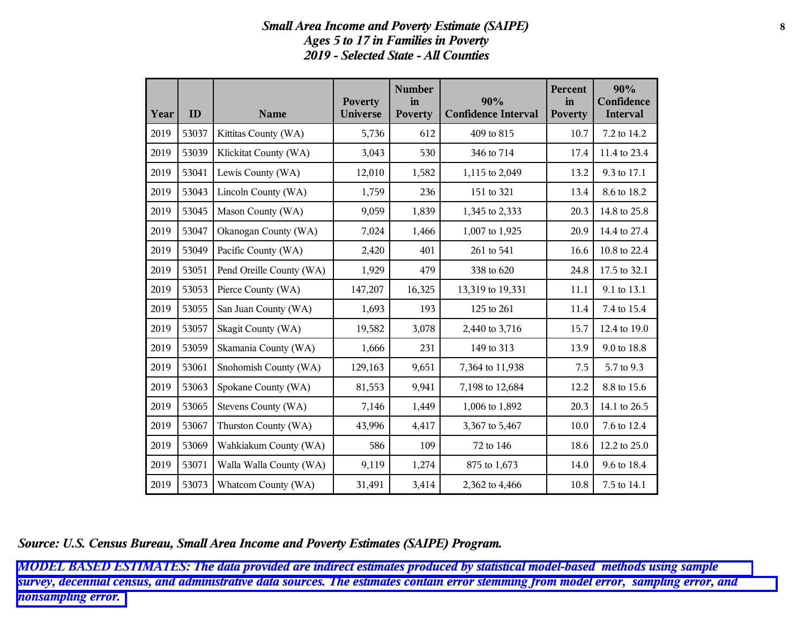## *Small Area Income and Poverty Estimate (SAIPE)* **8** *Ages 5 to 17 in Families in Poverty 2019 - Selected State - All Counties*

| Year | ID    | <b>Name</b>              | <b>Poverty</b><br>Universe | <b>Number</b><br>in<br><b>Poverty</b> | 90%<br><b>Confidence Interval</b> | Percent<br>in<br><b>Poverty</b> | 90%<br>Confidence<br><b>Interval</b> |
|------|-------|--------------------------|----------------------------|---------------------------------------|-----------------------------------|---------------------------------|--------------------------------------|
| 2019 | 53037 | Kittitas County (WA)     | 5,736                      | 612                                   | 409 to 815                        | 10.7                            | 7.2 to 14.2                          |
| 2019 | 53039 | Klickitat County (WA)    | 3,043                      | 530                                   | 346 to 714                        | 17.4                            | 11.4 to 23.4                         |
| 2019 | 53041 | Lewis County (WA)        | 12,010                     | 1,582                                 | 1,115 to 2,049                    | 13.2                            | 9.3 to 17.1                          |
| 2019 | 53043 | Lincoln County (WA)      | 1,759                      | 236                                   | 151 to 321                        | 13.4                            | 8.6 to 18.2                          |
| 2019 | 53045 | Mason County (WA)        | 9,059                      | 1,839                                 | 1,345 to 2,333                    | 20.3                            | 14.8 to 25.8                         |
| 2019 | 53047 | Okanogan County (WA)     | 7,024                      | 1,466                                 | 1,007 to 1,925                    | 20.9                            | 14.4 to 27.4                         |
| 2019 | 53049 | Pacific County (WA)      | 2,420                      | 401                                   | 261 to 541                        | 16.6                            | 10.8 to 22.4                         |
| 2019 | 53051 | Pend Oreille County (WA) | 1,929                      | 479                                   | 338 to 620                        | 24.8                            | 17.5 to 32.1                         |
| 2019 | 53053 | Pierce County (WA)       | 147,207                    | 16,325                                | 13,319 to 19,331                  | 11.1                            | 9.1 to 13.1                          |
| 2019 | 53055 | San Juan County (WA)     | 1,693                      | 193                                   | 125 to 261                        | 11.4                            | 7.4 to 15.4                          |
| 2019 | 53057 | Skagit County (WA)       | 19,582                     | 3,078                                 | 2,440 to 3,716                    | 15.7                            | 12.4 to 19.0                         |
| 2019 | 53059 | Skamania County (WA)     | 1,666                      | 231                                   | 149 to 313                        | 13.9                            | 9.0 to 18.8                          |
| 2019 | 53061 | Snohomish County (WA)    | 129,163                    | 9,651                                 | 7,364 to 11,938                   | 7.5                             | 5.7 to 9.3                           |
| 2019 | 53063 | Spokane County (WA)      | 81,553                     | 9,941                                 | 7,198 to 12,684                   | 12.2                            | 8.8 to 15.6                          |
| 2019 | 53065 | Stevens County (WA)      | 7,146                      | 1,449                                 | 1,006 to 1,892                    | 20.3                            | 14.1 to 26.5                         |
| 2019 | 53067 | Thurston County (WA)     | 43,996                     | 4,417                                 | 3,367 to 5,467                    | 10.0                            | 7.6 to 12.4                          |
| 2019 | 53069 | Wahkiakum County (WA)    | 586                        | 109                                   | 72 to 146                         | 18.6                            | 12.2 to 25.0                         |
| 2019 | 53071 | Walla Walla County (WA)  | 9,119                      | 1,274                                 | 875 to 1,673                      | 14.0                            | 9.6 to 18.4                          |
| 2019 | 53073 | Whatcom County (WA)      | 31,491                     | 3,414                                 | 2,362 to 4,466                    | 10.8                            | 7.5 to 14.1                          |

*Source: U.S. Census Bureau, Small Area Income and Poverty Estimates (SAIPE) Program.*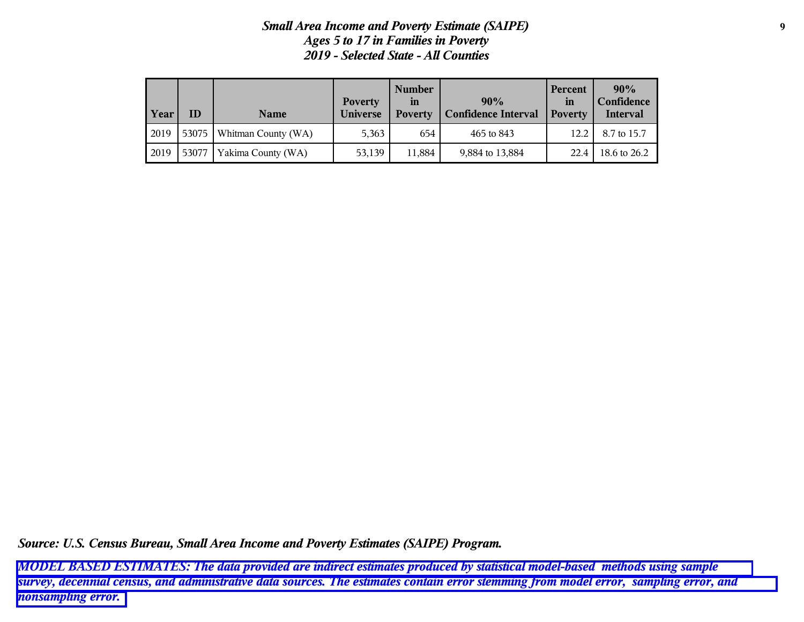# *Small Area Income and Poverty Estimate (SAIPE)* **9** *Ages 5 to 17 in Families in Poverty 2019 - Selected State - All Counties*

| Year | ID    | <b>Name</b>                 | <b>Poverty</b><br><b>Universe</b> | <b>Number</b><br>$\mathbf{m}$<br><b>Poverty</b> | 90%<br><b>Confidence Interval</b> | Percent<br>in<br><b>Poverty</b> | 90%<br>Confidence<br>Interval |
|------|-------|-----------------------------|-----------------------------------|-------------------------------------------------|-----------------------------------|---------------------------------|-------------------------------|
| 2019 |       | 53075   Whitman County (WA) | 5,363                             | 654                                             | 465 to 843                        | 12.2                            | 8.7 to 15.7                   |
| 2019 | 53077 | Yakima County (WA)          | 53,139                            | 11.884                                          | 9,884 to 13,884                   | 22.4                            | 18.6 to 26.2                  |

*Source: U.S. Census Bureau, Small Area Income and Poverty Estimates (SAIPE) Program.*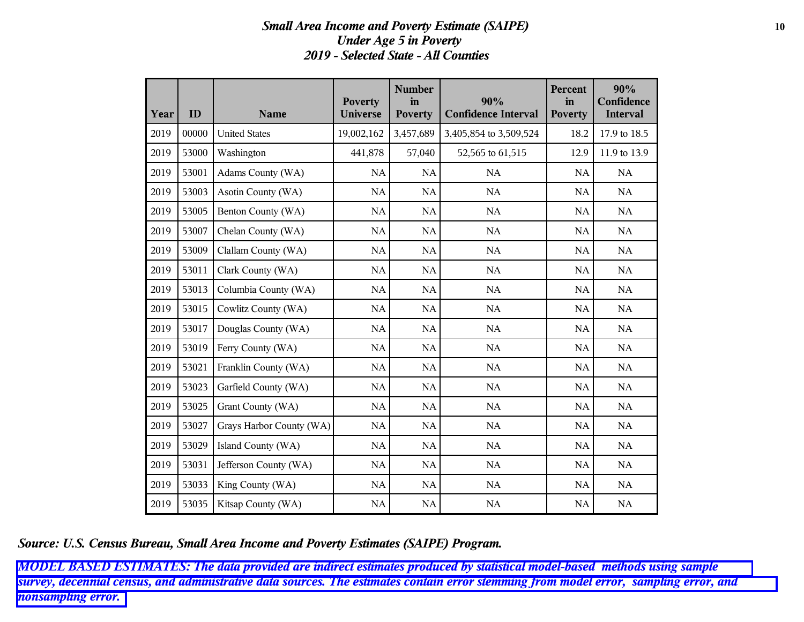### *Small Area Income and Poverty Estimate (SAIPE)* **10** *Under Age 5 in Poverty 2019 - Selected State - All Counties*

| Year | ID    | <b>Name</b>              | <b>Poverty</b><br><b>Universe</b> | <b>Number</b><br>in<br><b>Poverty</b> | 90%<br><b>Confidence Interval</b> | <b>Percent</b><br>in<br><b>Poverty</b> | 90%<br>Confidence<br><b>Interval</b> |
|------|-------|--------------------------|-----------------------------------|---------------------------------------|-----------------------------------|----------------------------------------|--------------------------------------|
| 2019 | 00000 | <b>United States</b>     | 19,002,162                        | 3,457,689                             | 3,405,854 to 3,509,524            | 18.2                                   | 17.9 to 18.5                         |
| 2019 | 53000 | Washington               | 441,878                           | 57,040                                | 52,565 to 61,515                  | 12.9                                   | 11.9 to 13.9                         |
| 2019 | 53001 | Adams County (WA)        | <b>NA</b>                         | <b>NA</b>                             | NA                                | <b>NA</b>                              | NA                                   |
| 2019 | 53003 | Asotin County (WA)       | NA                                | $\rm NA$                              | $\rm NA$                          | $\rm NA$                               | $\rm NA$                             |
| 2019 | 53005 | Benton County (WA)       | <b>NA</b>                         | NA                                    | NA                                | <b>NA</b>                              | NA                                   |
| 2019 | 53007 | Chelan County (WA)       | <b>NA</b>                         | NA                                    | NA                                | <b>NA</b>                              | NA                                   |
| 2019 | 53009 | Clallam County (WA)      | <b>NA</b>                         | NA                                    | NA                                | NA                                     | NA                                   |
| 2019 | 53011 | Clark County (WA)        | <b>NA</b>                         | NA                                    | <b>NA</b>                         | <b>NA</b>                              | NA                                   |
| 2019 | 53013 | Columbia County (WA)     | <b>NA</b>                         | NA                                    | NA                                | <b>NA</b>                              | NA                                   |
| 2019 | 53015 | Cowlitz County (WA)      | <b>NA</b>                         | NA                                    | NA                                | <b>NA</b>                              | NA                                   |
| 2019 | 53017 | Douglas County (WA)      | <b>NA</b>                         | NA                                    | <b>NA</b>                         | <b>NA</b>                              | NA                                   |
| 2019 | 53019 | Ferry County (WA)        | <b>NA</b>                         | NA                                    | NA                                | <b>NA</b>                              | NA                                   |
| 2019 | 53021 | Franklin County (WA)     | <b>NA</b>                         | NA                                    | NA                                | NA                                     | NA                                   |
| 2019 | 53023 | Garfield County (WA)     | NA                                | NA                                    | NA                                | NA                                     | NA                                   |
| 2019 | 53025 | Grant County (WA)        | <b>NA</b>                         | NA                                    | NA                                | <b>NA</b>                              | NA                                   |
| 2019 | 53027 | Grays Harbor County (WA) | <b>NA</b>                         | NA                                    | NA                                | NA                                     | NA                                   |
| 2019 | 53029 | Island County (WA)       | NA                                | NA                                    | NA                                | NA                                     | $\rm NA$                             |
| 2019 | 53031 | Jefferson County (WA)    | <b>NA</b>                         | NA                                    | NA                                | <b>NA</b>                              | NA                                   |
| 2019 | 53033 | King County (WA)         | NA                                | NA                                    | NA                                | <b>NA</b>                              | NA                                   |
| 2019 | 53035 | Kitsap County (WA)       | <b>NA</b>                         | $\rm NA$                              | NA                                | NA                                     | NA                                   |

*Source: U.S. Census Bureau, Small Area Income and Poverty Estimates (SAIPE) Program.*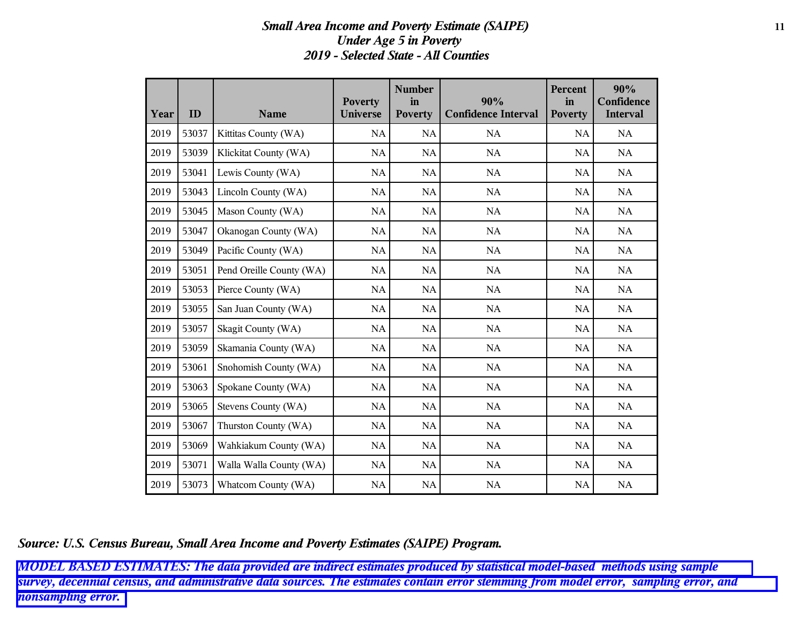### *Small Area Income and Poverty Estimate (SAIPE)* **11** *Under Age 5 in Poverty 2019 - Selected State - All Counties*

| Year | ID    | <b>Name</b>              | <b>Poverty</b><br><b>Universe</b> | <b>Number</b><br>in<br><b>Poverty</b> | 90%<br><b>Confidence Interval</b> | Percent<br>in<br><b>Poverty</b> | 90%<br>Confidence<br><b>Interval</b> |
|------|-------|--------------------------|-----------------------------------|---------------------------------------|-----------------------------------|---------------------------------|--------------------------------------|
| 2019 | 53037 | Kittitas County (WA)     | <b>NA</b>                         | <b>NA</b>                             | <b>NA</b>                         | <b>NA</b>                       | NA                                   |
| 2019 | 53039 | Klickitat County (WA)    | <b>NA</b>                         | NA                                    | NA                                | NA                              | NA                                   |
| 2019 | 53041 | Lewis County (WA)        | <b>NA</b>                         | NA                                    | $\rm NA$                          | NA                              | NA                                   |
| 2019 | 53043 | Lincoln County (WA)      | <b>NA</b>                         | NA                                    | NA                                | NA                              | NA                                   |
| 2019 | 53045 | Mason County (WA)        | <b>NA</b>                         | NA                                    | NA                                | <b>NA</b>                       | NA                                   |
| 2019 | 53047 | Okanogan County (WA)     | <b>NA</b>                         | NA                                    | NA                                | NA                              | NA                                   |
| 2019 | 53049 | Pacific County (WA)      | <b>NA</b>                         | NA                                    | <b>NA</b>                         | <b>NA</b>                       | NA                                   |
| 2019 | 53051 | Pend Oreille County (WA) | <b>NA</b>                         | NA                                    | NA                                | <b>NA</b>                       | NA                                   |
| 2019 | 53053 | Pierce County (WA)       | <b>NA</b>                         | NA                                    | NA                                | <b>NA</b>                       | NA                                   |
| 2019 | 53055 | San Juan County (WA)     | <b>NA</b>                         | NA                                    | NA                                | NA                              | NA                                   |
| 2019 | 53057 | Skagit County (WA)       | <b>NA</b>                         | NA                                    | NA                                | <b>NA</b>                       | NA                                   |
| 2019 | 53059 | Skamania County (WA)     | <b>NA</b>                         | NA                                    | NA                                | NA                              | NA                                   |
| 2019 | 53061 | Snohomish County (WA)    | <b>NA</b>                         | $\rm NA$                              | NA                                | <b>NA</b>                       | NA                                   |
| 2019 | 53063 | Spokane County (WA)      | <b>NA</b>                         | NA                                    | NA                                | NA                              | NA                                   |
| 2019 | 53065 | Stevens County (WA)      | NA                                | NA                                    | NA                                | NA                              | NA                                   |
| 2019 | 53067 | Thurston County (WA)     | <b>NA</b>                         | NA                                    | NA                                | <b>NA</b>                       | NA                                   |
| 2019 | 53069 | Wahkiakum County (WA)    | NA                                | NA                                    | NA                                | NA                              | NA                                   |
| 2019 | 53071 | Walla Walla County (WA)  | NA                                | NA                                    | NA                                | NA                              | NA                                   |
| 2019 | 53073 | Whatcom County (WA)      | <b>NA</b>                         | NA                                    | NA                                | NA                              | NA                                   |

*Source: U.S. Census Bureau, Small Area Income and Poverty Estimates (SAIPE) Program.*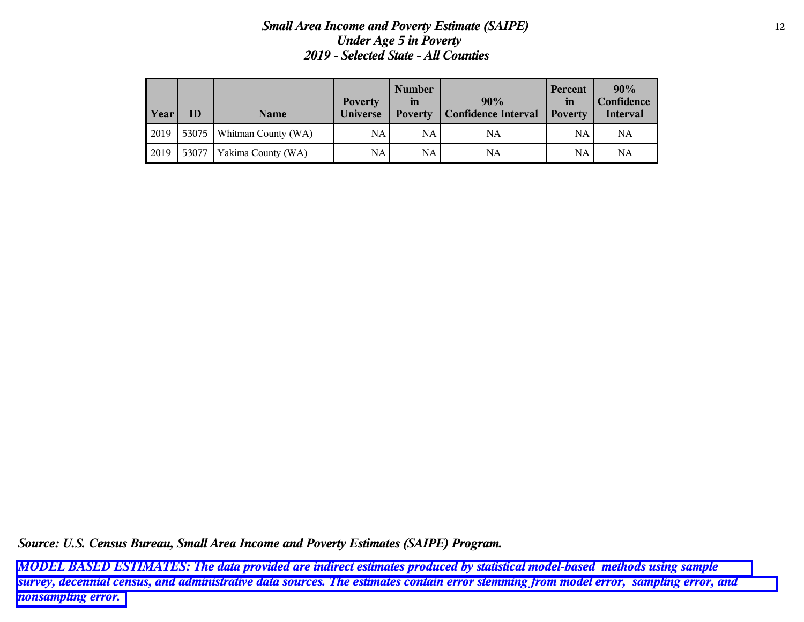## *Small Area Income and Poverty Estimate (SAIPE)* **12** *Under Age 5 in Poverty 2019 - Selected State - All Counties*

| Year | ID    | <b>Name</b>         | <b>Poverty</b><br><b>Universe</b> | <b>Number</b><br>in<br><b>Poverty</b> | 90%<br><b>Confidence Interval</b> | <b>Percent</b><br>in<br><b>Poverty</b> | 90%<br>Confidence<br><b>Interval</b> |
|------|-------|---------------------|-----------------------------------|---------------------------------------|-----------------------------------|----------------------------------------|--------------------------------------|
| 2019 | 53075 | Whitman County (WA) | NA                                | NA.                                   | NA                                | NA                                     | <b>NA</b>                            |
| 2019 | 53077 | Yakima County (WA)  | <b>NA</b>                         | NA.                                   | NA                                | NA                                     | NA                                   |

*Source: U.S. Census Bureau, Small Area Income and Poverty Estimates (SAIPE) Program.*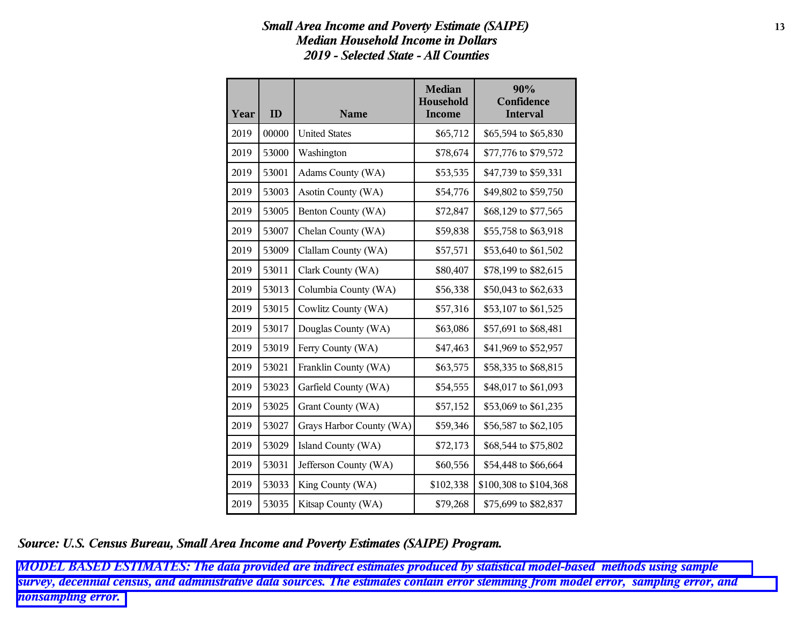# *Small Area Income and Poverty Estimate (SAIPE)* **13** *Median Household Income in Dollars 2019 - Selected State - All Counties*

| Year | ID    | <b>Name</b>              | <b>Median</b><br>Household<br><b>Income</b> | 90%<br>Confidence<br><b>Interval</b> |
|------|-------|--------------------------|---------------------------------------------|--------------------------------------|
| 2019 | 00000 | <b>United States</b>     | \$65,712                                    | \$65,594 to \$65,830                 |
| 2019 | 53000 | Washington               | \$78,674                                    | \$77,776 to \$79,572                 |
| 2019 | 53001 | Adams County (WA)        | \$53,535                                    | \$47,739 to \$59,331                 |
| 2019 | 53003 | Asotin County (WA)       | \$54,776                                    | \$49,802 to \$59,750                 |
| 2019 | 53005 | Benton County (WA)       | \$72,847                                    | \$68,129 to \$77,565                 |
| 2019 | 53007 | Chelan County (WA)       | \$59,838                                    | \$55,758 to \$63,918                 |
| 2019 | 53009 | Clallam County (WA)      | \$57,571                                    | \$53,640 to \$61,502                 |
| 2019 | 53011 | Clark County (WA)        | \$80,407                                    | \$78,199 to \$82,615                 |
| 2019 | 53013 | Columbia County (WA)     | \$56,338                                    | \$50,043 to \$62,633                 |
| 2019 | 53015 | Cowlitz County (WA)      | \$57,316                                    | \$53,107 to \$61,525                 |
| 2019 | 53017 | Douglas County (WA)      | \$63,086                                    | \$57,691 to \$68,481                 |
| 2019 | 53019 | Ferry County (WA)        | \$47,463                                    | \$41,969 to \$52,957                 |
| 2019 | 53021 | Franklin County (WA)     | \$63,575                                    | \$58,335 to \$68,815                 |
| 2019 | 53023 | Garfield County (WA)     | \$54,555                                    | \$48,017 to \$61,093                 |
| 2019 | 53025 | Grant County (WA)        | \$57,152                                    | \$53,069 to \$61,235                 |
| 2019 | 53027 | Grays Harbor County (WA) | \$59,346                                    | \$56,587 to \$62,105                 |
| 2019 | 53029 | Island County (WA)       | \$72,173                                    | \$68,544 to \$75,802                 |
| 2019 | 53031 | Jefferson County (WA)    | \$60,556                                    | \$54,448 to \$66,664                 |
| 2019 | 53033 | King County (WA)         | \$102,338                                   | \$100,308 to \$104,368               |
| 2019 | 53035 | Kitsap County (WA)       | \$79,268                                    | \$75,699 to \$82,837                 |

*Source: U.S. Census Bureau, Small Area Income and Poverty Estimates (SAIPE) Program.*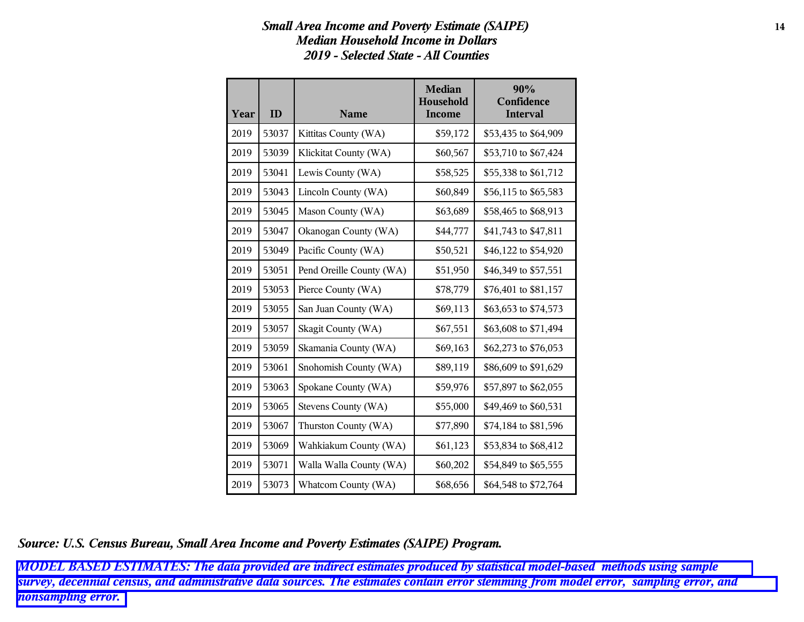# *Small Area Income and Poverty Estimate (SAIPE)* **14** *Median Household Income in Dollars 2019 - Selected State - All Counties*

| Year | ID    | <b>Name</b>              | <b>Median</b><br>Household<br><b>Income</b> | 90%<br>Confidence<br><b>Interval</b> |
|------|-------|--------------------------|---------------------------------------------|--------------------------------------|
| 2019 | 53037 | Kittitas County (WA)     | \$59,172                                    | \$53,435 to \$64,909                 |
| 2019 | 53039 | Klickitat County (WA)    | \$60,567                                    | \$53,710 to \$67,424                 |
| 2019 | 53041 | Lewis County (WA)        | \$58,525                                    | \$55,338 to \$61,712                 |
| 2019 | 53043 | Lincoln County (WA)      | \$60,849                                    | \$56,115 to \$65,583                 |
| 2019 | 53045 | Mason County (WA)        | \$63,689                                    | \$58,465 to \$68,913                 |
| 2019 | 53047 | Okanogan County (WA)     | \$44,777                                    | \$41,743 to \$47,811                 |
| 2019 | 53049 | Pacific County (WA)      | \$50,521                                    | \$46,122 to \$54,920                 |
| 2019 | 53051 | Pend Oreille County (WA) | \$51,950                                    | \$46,349 to \$57,551                 |
| 2019 | 53053 | Pierce County (WA)       | \$78,779                                    | \$76,401 to \$81,157                 |
| 2019 | 53055 | San Juan County (WA)     | \$69,113                                    | \$63,653 to \$74,573                 |
| 2019 | 53057 | Skagit County (WA)       | \$67,551                                    | \$63,608 to \$71,494                 |
| 2019 | 53059 | Skamania County (WA)     | \$69,163                                    | \$62,273 to \$76,053                 |
| 2019 | 53061 | Snohomish County (WA)    | \$89,119                                    | \$86,609 to \$91,629                 |
| 2019 | 53063 | Spokane County (WA)      | \$59,976                                    | \$57,897 to \$62,055                 |
| 2019 | 53065 | Stevens County (WA)      | \$55,000                                    | \$49,469 to \$60,531                 |
| 2019 | 53067 | Thurston County (WA)     | \$77,890                                    | \$74,184 to \$81,596                 |
| 2019 | 53069 | Wahkiakum County (WA)    | \$61,123                                    | \$53,834 to \$68,412                 |
| 2019 | 53071 | Walla Walla County (WA)  | \$60,202                                    | \$54,849 to \$65,555                 |
| 2019 | 53073 | Whatcom County (WA)      | \$68,656                                    | \$64,548 to \$72,764                 |

*Source: U.S. Census Bureau, Small Area Income and Poverty Estimates (SAIPE) Program.*